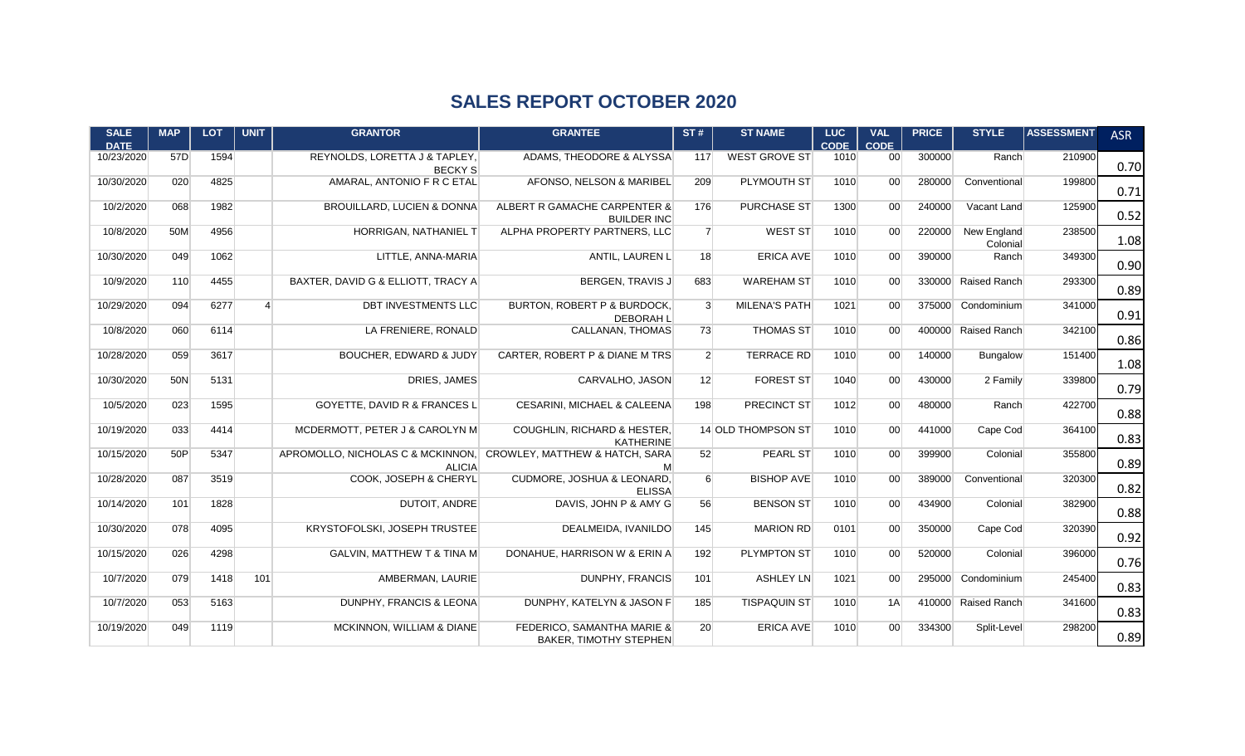## **SALES REPORT OCTOBER 2020**

| <b>SALE</b><br><b>DATE</b> | <b>MAP</b> | <b>LOT</b> | <b>UNIT</b>    | <b>GRANTOR</b>                                                                    | <b>GRANTEE</b>                                              | ST#              | <b>ST NAME</b>       | <b>LUC</b><br>CODE | <b>VAL</b><br><b>CODE</b> | <b>PRICE</b> | <b>STYLE</b>            | <b>ASSESSMENT</b> | <b>ASR</b> |
|----------------------------|------------|------------|----------------|-----------------------------------------------------------------------------------|-------------------------------------------------------------|------------------|----------------------|--------------------|---------------------------|--------------|-------------------------|-------------------|------------|
| 10/23/2020                 | 57D        | 1594       |                | REYNOLDS, LORETTA J & TAPLEY.<br><b>BECKY S</b>                                   | ADAMS. THEODORE & ALYSSA                                    | 117              | <b>WEST GROVE ST</b> | 1010               | 00 <sup>1</sup>           | 300000       | Ranch                   | 210900            | 0.70       |
| 10/30/2020                 | 020        | 4825       |                | AMARAL, ANTONIO F R C ETAL                                                        | AFONSO, NELSON & MARIBEL                                    | 209              | PLYMOUTH ST          | 1010               | 00 <sup>1</sup>           | 280000       | Conventional            | 199800            | 0.71       |
| 10/2/2020                  | 068        | 1982       |                | <b>BROUILLARD, LUCIEN &amp; DONNA</b>                                             | ALBERT R GAMACHE CARPENTER &<br><b>BUILDER INC</b>          | 176              | <b>PURCHASE ST</b>   | 1300               | 00 <sup>1</sup>           | 240000       | Vacant Land             | 125900            | 0.52       |
| 10/8/2020                  | 50M        | 4956       |                | HORRIGAN, NATHANIEL T                                                             | ALPHA PROPERTY PARTNERS, LLC                                | 7 <sup>1</sup>   | <b>WEST ST</b>       | 1010               | 00 <sup>1</sup>           | 220000       | New England<br>Colonial | 238500            | 1.08       |
| 10/30/2020                 | 049        | 1062       |                | LITTLE, ANNA-MARIA                                                                | ANTIL, LAUREN L                                             | 18               | <b>ERICA AVE</b>     | 1010               | 00 <sup>1</sup>           | 390000       | Ranch                   | 349300            | 0.90       |
| 10/9/2020                  | 110        | 4455       |                | BAXTER, DAVID G & ELLIOTT, TRACY A                                                | BERGEN, TRAVIS J                                            | 683              | <b>WAREHAM ST</b>    | 1010               | 00 <sup>1</sup>           | 330000       | <b>Raised Ranch</b>     | 293300            | 0.89       |
| 10/29/2020                 | 094        | 6277       | $\overline{a}$ | DBT INVESTMENTS LLC                                                               | BURTON, ROBERT P & BURDOCK,<br><b>DEBORAH L</b>             | $\mathbf{3}$     | <b>MILENA'S PATH</b> | 1021               | 00                        | 375000       | Condominium             | 341000            | 0.91       |
| 10/8/2020                  | 060        | 6114       |                | LA FRENIERE, RONALD                                                               | CALLANAN, THOMAS                                            | 73               | <b>THOMAS ST</b>     | 1010               | 00 <sup>1</sup>           |              | 400000 Raised Ranch     | 342100            | 0.86       |
| 10/28/2020                 | 059        | 3617       |                | <b>BOUCHER, EDWARD &amp; JUDY</b>                                                 | CARTER, ROBERT P & DIANE M TRS                              | 2 <sup>2</sup>   | <b>TERRACE RD</b>    | 1010               | 00 <sup>1</sup>           | 140000       | Bungalow                | 151400            | 1.08       |
| 10/30/2020                 | 50N        | 5131       |                | DRIES, JAMES                                                                      | CARVALHO, JASON                                             | 12               | <b>FOREST ST</b>     | 1040               | 00 <sup>1</sup>           | 430000       | 2 Family                | 339800            | 0.79       |
| 10/5/2020                  | 023        | 1595       |                | GOYETTE, DAVID R & FRANCES L                                                      | CESARINI, MICHAEL & CALEENA                                 | 198              | PRECINCT ST          | 1012               | 00 <sup>1</sup>           | 480000       | Ranch                   | 422700            | 0.88       |
| 10/19/2020                 | 033        | 4414       |                | MCDERMOTT, PETER J & CAROLYN M                                                    | COUGHLIN, RICHARD & HESTER,<br><b>KATHERINE</b>             |                  | 14 OLD THOMPSON ST   | 1010               | 00 <sup>1</sup>           | 441000       | Cape Cod                | 364100            | 0.83       |
| 10/15/2020                 | 50P        | 5347       |                | APROMOLLO, NICHOLAS C & MCKINNON, CROWLEY, MATTHEW & HATCH, SARA<br><b>ALICIA</b> | M                                                           | 52               | <b>PEARL ST</b>      | 1010               | 00 <sup>1</sup>           | 399900       | Colonial                | 355800            | 0.89       |
| 10/28/2020                 | 087        | 3519       |                | COOK. JOSEPH & CHERYL                                                             | <b>CUDMORE, JOSHUA &amp; LEONARD.</b><br><b>ELISSA</b>      | $6 \overline{6}$ | <b>BISHOP AVE</b>    | 1010               | 00 <sup>1</sup>           | 389000       | Conventional            | 320300            | 0.82       |
| 10/14/2020                 | 101        | 1828       |                | <b>DUTOIT, ANDRE</b>                                                              | DAVIS, JOHN P & AMY G                                       | 56               | <b>BENSON ST</b>     | 1010               | 00 <sup>1</sup>           | 434900       | Colonial                | 382900            | 0.88       |
| 10/30/2020                 | 078        | 4095       |                | KRYSTOFOLSKI, JOSEPH TRUSTEE                                                      | DEALMEIDA, IVANILDO                                         | 145              | <b>MARION RD</b>     | 0101               | 00 <sup>1</sup>           | 350000       | Cape Cod                | 320390            | 0.92       |
| 10/15/2020                 | 026        | 4298       |                | <b>GALVIN, MATTHEW T &amp; TINA M</b>                                             | DONAHUE, HARRISON W & ERIN A                                | 192              | <b>PLYMPTON ST</b>   | 1010               | 00 <sup>1</sup>           | 520000       | Colonial                | 396000            | 0.76       |
| 10/7/2020                  | 079        | 1418       | 101            | AMBERMAN, LAURIE                                                                  | DUNPHY, FRANCIS                                             | 101              | ASHLEY LN            | 1021               | 00 <sup>1</sup>           | 295000       | Condominium             | 245400            | 0.83       |
| 10/7/2020                  | 053        | 5163       |                | DUNPHY, FRANCIS & LEONA                                                           | DUNPHY, KATELYN & JASON F                                   | 185              | <b>TISPAQUIN ST</b>  | 1010               | 1A                        |              | 410000 Raised Ranch     | 341600            | 0.83       |
| 10/19/2020                 | 049        | 1119       |                | MCKINNON, WILLIAM & DIANE                                                         | FEDERICO, SAMANTHA MARIE &<br><b>BAKER, TIMOTHY STEPHEN</b> | 20               | <b>ERICA AVE</b>     | 1010               | 00                        | 334300       | Split-Level             | 298200            | 0.89       |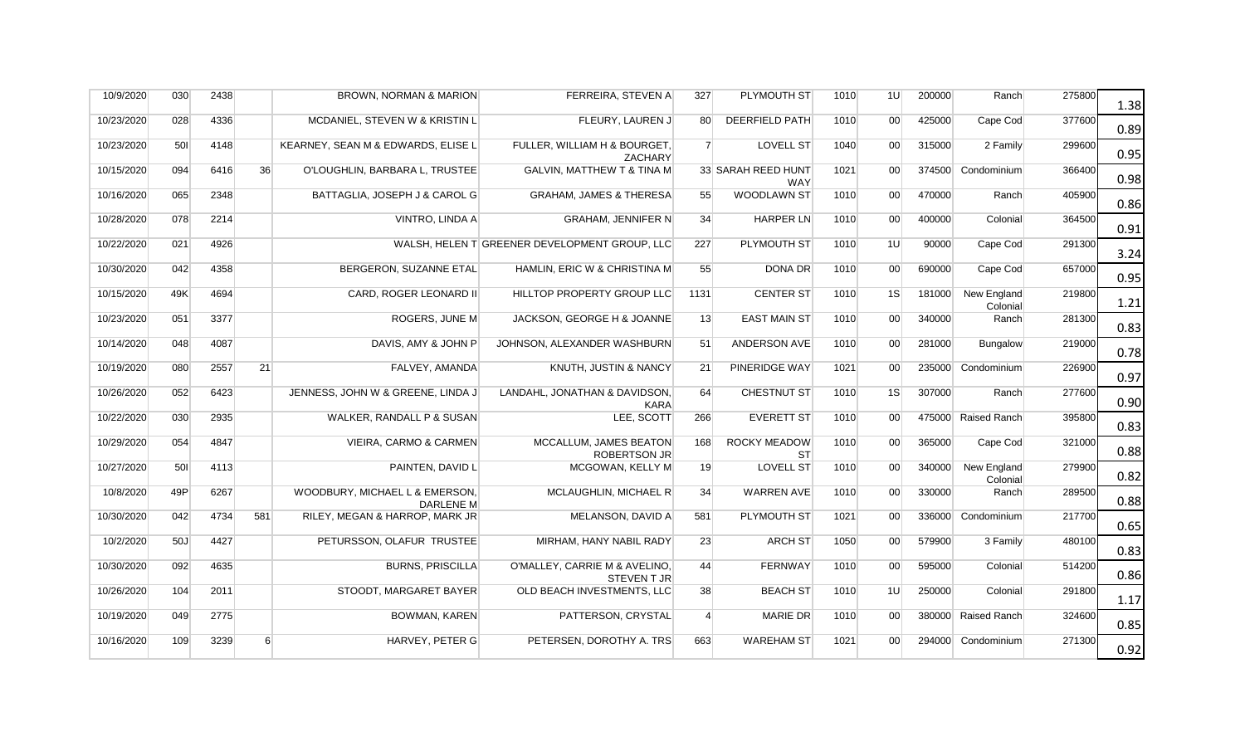| 10/9/2020  | 030 | 2438 |     | <b>BROWN, NORMAN &amp; MARION</b>                  | FERREIRA, STEVEN A                                 | 327            | PLYMOUTH ST                      | 1010 | 1U              | 200000 | Ranch                   | 275800 | 1.38 |
|------------|-----|------|-----|----------------------------------------------------|----------------------------------------------------|----------------|----------------------------------|------|-----------------|--------|-------------------------|--------|------|
| 10/23/2020 | 028 | 4336 |     | MCDANIEL, STEVEN W & KRISTIN L                     | FLEURY, LAUREN J                                   | 80             | DEERFIELD PATH                   | 1010 | 00 <sup>1</sup> | 425000 | Cape Cod                | 377600 | 0.89 |
| 10/23/2020 | 501 | 4148 |     | KEARNEY, SEAN M & EDWARDS, ELISE L                 | FULLER, WILLIAM H & BOURGET,<br>ZACHARY            | $\overline{7}$ | <b>LOVELL ST</b>                 | 1040 | 00 <sup>1</sup> | 315000 | 2 Family                | 299600 | 0.95 |
| 10/15/2020 | 094 | 6416 | 36  | O'LOUGHLIN, BARBARA L, TRUSTEE                     | <b>GALVIN, MATTHEW T &amp; TINA M</b>              |                | 33 SARAH REED HUNT<br><b>WAY</b> | 1021 | 00 <sup>1</sup> |        | 374500 Condominium      | 366400 | 0.98 |
| 10/16/2020 | 065 | 2348 |     | BATTAGLIA, JOSEPH J & CAROL G                      | <b>GRAHAM, JAMES &amp; THERESA</b>                 | 55             | <b>WOODLAWN ST</b>               | 1010 | 00              | 470000 | Ranch                   | 405900 | 0.86 |
| 10/28/2020 | 078 | 2214 |     | VINTRO, LINDA A                                    | <b>GRAHAM, JENNIFER N</b>                          | 34             | <b>HARPER LN</b>                 | 1010 | 00 <sup>1</sup> | 400000 | Colonial                | 364500 | 0.91 |
| 10/22/2020 | 021 | 4926 |     |                                                    | WALSH, HELEN T GREENER DEVELOPMENT GROUP, LLC      | 227            | PLYMOUTH ST                      | 1010 | 1U              | 90000  | Cape Cod                | 291300 | 3.24 |
| 10/30/2020 | 042 | 4358 |     | BERGERON, SUZANNE ETAL                             | HAMLIN, ERIC W & CHRISTINA M                       | 55             | DONA DR                          | 1010 | 00 <sup>1</sup> | 690000 | Cape Cod                | 657000 | 0.95 |
| 10/15/2020 | 49K | 4694 |     | CARD, ROGER LEONARD II                             | HILLTOP PROPERTY GROUP LLC                         | 1131           | <b>CENTER ST</b>                 | 1010 | 1S              | 181000 | New England<br>Colonial | 219800 | 1.21 |
| 10/23/2020 | 051 | 3377 |     | ROGERS, JUNE M                                     | JACKSON, GEORGE H & JOANNE                         | 13             | <b>EAST MAIN ST</b>              | 1010 | 00 <sup>1</sup> | 340000 | Ranch                   | 281300 | 0.83 |
| 10/14/2020 | 048 | 4087 |     | DAVIS, AMY & JOHN P                                | JOHNSON, ALEXANDER WASHBURN                        | 51             | ANDERSON AVE                     | 1010 | 00              | 281000 | <b>Bungalow</b>         | 219000 | 0.78 |
| 10/19/2020 | 080 | 2557 | 21  | FALVEY, AMANDA                                     | KNUTH, JUSTIN & NANCY                              | 21             | PINERIDGE WAY                    | 1021 | 00              |        | 235000 Condominium      | 226900 | 0.97 |
| 10/26/2020 | 052 | 6423 |     | JENNESS, JOHN W & GREENE, LINDA J                  | LANDAHL, JONATHAN & DAVIDSON,<br><b>KARA</b>       | 64             | <b>CHESTNUT ST</b>               | 1010 | 1S              | 307000 | Ranch                   | 277600 | 0.90 |
| 10/22/2020 | 030 | 2935 |     | WALKER, RANDALL P & SUSAN                          | LEE, SCOTT                                         | 266            | <b>EVERETT ST</b>                | 1010 | 00              |        | 475000 Raised Ranch     | 395800 | 0.83 |
| 10/29/2020 | 054 | 4847 |     | VIEIRA, CARMO & CARMEN                             | MCCALLUM, JAMES BEATON<br><b>ROBERTSON JR</b>      | 168            | <b>ROCKY MEADOW</b><br><b>ST</b> | 1010 | 00 <sup>1</sup> | 365000 | Cape Cod                | 321000 | 0.88 |
| 10/27/2020 | 501 | 4113 |     | PAINTEN, DAVID L                                   | MCGOWAN, KELLY M                                   | 19             | <b>LOVELL ST</b>                 | 1010 | $00\,$          | 340000 | New England<br>Colonial | 279900 | 0.82 |
| 10/8/2020  | 49P | 6267 |     | WOODBURY, MICHAEL L & EMERSON,<br><b>DARLENE M</b> | MCLAUGHLIN, MICHAEL R                              | 34             | <b>WARREN AVE</b>                | 1010 | 00 <sup>°</sup> | 330000 | Ranch                   | 289500 | 0.88 |
| 10/30/2020 | 042 | 4734 | 581 | RILEY, MEGAN & HARROP, MARK JR                     | MELANSON, DAVID A                                  | 581            | PLYMOUTH ST                      | 1021 | 00 <sup>1</sup> |        | 336000 Condominium      | 217700 | 0.65 |
| 10/2/2020  | 50J | 4427 |     | PETURSSON, OLAFUR TRUSTEE                          | MIRHAM, HANY NABIL RADY                            | 23             | <b>ARCH ST</b>                   | 1050 | 00              | 579900 | 3 Family                | 480100 | 0.83 |
| 10/30/2020 | 092 | 4635 |     | <b>BURNS, PRISCILLA</b>                            | O'MALLEY, CARRIE M & AVELINO,<br><b>STEVENT JR</b> | 44             | <b>FERNWAY</b>                   | 1010 | 00              | 595000 | Colonial                | 514200 | 0.86 |
| 10/26/2020 | 104 | 2011 |     | STOODT, MARGARET BAYER                             | OLD BEACH INVESTMENTS, LLC                         | 38             | <b>BEACH ST</b>                  | 1010 | 1U              | 250000 | Colonial                | 291800 | 1.17 |
| 10/19/2020 | 049 | 2775 |     | <b>BOWMAN, KAREN</b>                               | PATTERSON, CRYSTAL                                 | $\overline{4}$ | <b>MARIE DR</b>                  | 1010 | 00              |        | 380000 Raised Ranch     | 324600 | 0.85 |
| 10/16/2020 | 109 | 3239 | 6   | HARVEY, PETER G                                    | PETERSEN, DOROTHY A. TRS                           | 663            | <b>WAREHAM ST</b>                | 1021 | 00 <sup>1</sup> |        | 294000 Condominium      | 271300 | 0.92 |